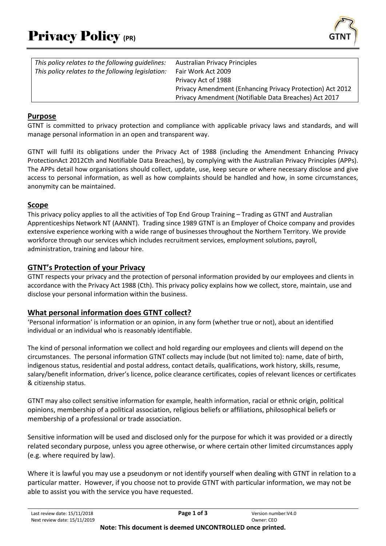

| This policy relates to the following quidelines:  | <b>Australian Privacy Principles</b>                      |
|---------------------------------------------------|-----------------------------------------------------------|
| This policy relates to the following legislation: | Fair Work Act 2009                                        |
|                                                   | Privacy Act of 1988                                       |
|                                                   | Privacy Amendment (Enhancing Privacy Protection) Act 2012 |
|                                                   | Privacy Amendment (Notifiable Data Breaches) Act 2017     |

### **Purpose**

GTNT is committed to privacy protection and compliance with applicable privacy laws and standards, and will manage personal information in an open and transparent way.

GTNT will fulfil its obligations under the Privacy Act of 1988 (including the Amendment Enhancing Privacy ProtectionAct 2012Cth and Notifiable Data Breaches), by complying with the Australian Privacy Principles (APPs). The APPs detail how organisations should collect, update, use, keep secure or where necessary disclose and give access to personal information, as well as how complaints should be handled and how, in some circumstances, anonymity can be maintained.

### **Scope**

This privacy policy applies to all the activities of Top End Group Training – Trading as GTNT and Australian Apprenticeships Network NT (AANNT). Trading since 1989 GTNT is an Employer of Choice company and provides extensive experience working with a wide range of businesses throughout the Northern Territory. We provide workforce through our services which includes recruitment services, employment solutions, payroll, administration, training and labour hire.

### **GTNT's Protection of your Privacy**

GTNT respects your privacy and the protection of personal information provided by our employees and clients in accordance with the Privacy Act 1988 (Cth). This privacy policy explains how we collect, store, maintain, use and disclose your personal information within the business.

# **What personal information does GTNT collect?**

'Personal information' is information or an opinion, in any form (whether true or not), about an identified individual or an individual who is reasonably identifiable.

The kind of personal information we collect and hold regarding our employees and clients will depend on the circumstances. The personal information GTNT collects may include (but not limited to): name, date of birth, indigenous status, residential and postal address, contact details, qualifications, work history, skills, resume, salary/benefit information, driver's licence, police clearance certificates, copies of relevant licences or certificates & citizenship status.

GTNT may also collect sensitive information for example, health information, racial or ethnic origin, political opinions, membership of a political association, religious beliefs or affiliations, philosophical beliefs or membership of a professional or trade association.

Sensitive information will be used and disclosed only for the purpose for which it was provided or a directly related secondary purpose, unless you agree otherwise, or where certain other limited circumstances apply (e.g. where required by law).

Where it is lawful you may use a pseudonym or not identify yourself when dealing with GTNT in relation to a particular matter. However, if you choose not to provide GTNT with particular information, we may not be able to assist you with the service you have requested.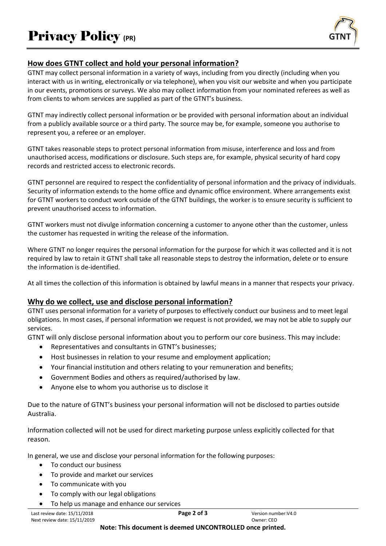

# **How does GTNT collect and hold your personal information?**

GTNT may collect personal information in a variety of ways, including from you directly (including when you interact with us in writing, electronically or via telephone), when you visit our website and when you participate in our events, promotions or surveys. We also may collect information from your nominated referees as well as from clients to whom services are supplied as part of the GTNT's business.

GTNT may indirectly collect personal information or be provided with personal information about an individual from a publicly available source or a third party. The source may be, for example, someone you authorise to represent you, a referee or an employer.

GTNT takes reasonable steps to protect personal information from misuse, interference and loss and from unauthorised access, modifications or disclosure. Such steps are, for example, physical security of hard copy records and restricted access to electronic records.

GTNT personnel are required to respect the confidentiality of personal information and the privacy of individuals. Security of information extends to the home office and dynamic office environment. Where arrangements exist for GTNT workers to conduct work outside of the GTNT buildings, the worker is to ensure security is sufficient to prevent unauthorised access to information.

GTNT workers must not divulge information concerning a customer to anyone other than the customer, unless the customer has requested in writing the release of the information.

Where GTNT no longer requires the personal information for the purpose for which it was collected and it is not required by law to retain it GTNT shall take all reasonable steps to destroy the information, delete or to ensure the information is de-identified.

At all times the collection of this information is obtained by lawful means in a manner that respects your privacy.

# **Why do we collect, use and disclose personal information?**

GTNT uses personal information for a variety of purposes to effectively conduct our business and to meet legal obligations. In most cases, if personal information we request is not provided, we may not be able to supply our services.

GTNT will only disclose personal information about you to perform our core business. This may include:

- Representatives and consultants in GTNT's businesses;
- Host businesses in relation to your resume and employment application;
- Your financial institution and others relating to your remuneration and benefits;
- Government Bodies and others as required/authorised by law.
- Anyone else to whom you authorise us to disclose it

Due to the nature of GTNT's business your personal information will not be disclosed to parties outside Australia.

Information collected will not be used for direct marketing purpose unless explicitly collected for that reason.

In general, we use and disclose your personal information for the following purposes:

- To conduct our business
- To provide and market our services
- To communicate with you
- To comply with our legal obligations
- To help us manage and enhance our services